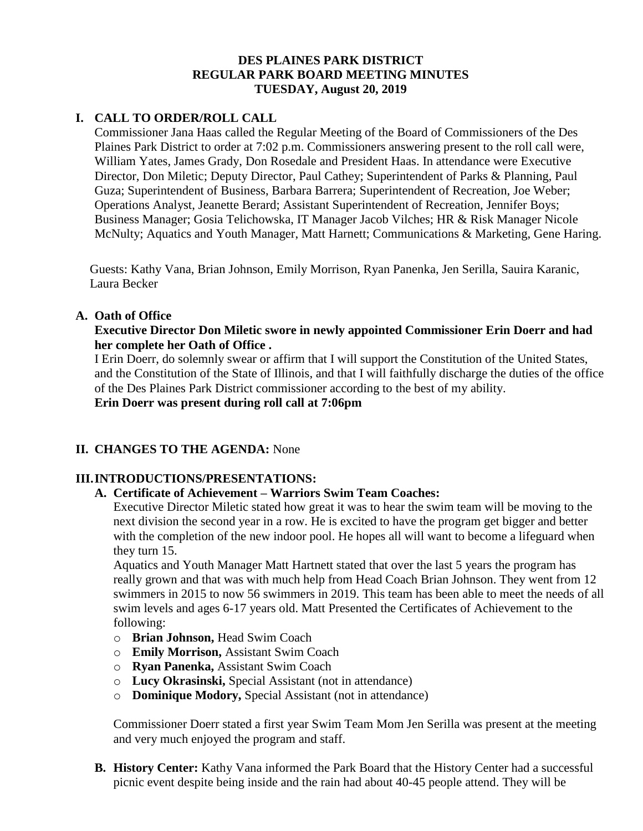# **DES PLAINES PARK DISTRICT REGULAR PARK BOARD MEETING MINUTES TUESDAY, August 20, 2019**

# **I. CALL TO ORDER/ROLL CALL**

Commissioner Jana Haas called the Regular Meeting of the Board of Commissioners of the Des Plaines Park District to order at 7:02 p.m. Commissioners answering present to the roll call were, William Yates, James Grady, Don Rosedale and President Haas. In attendance were Executive Director, Don Miletic; Deputy Director, Paul Cathey; Superintendent of Parks & Planning, Paul Guza; Superintendent of Business, Barbara Barrera; Superintendent of Recreation, Joe Weber; Operations Analyst, Jeanette Berard; Assistant Superintendent of Recreation, Jennifer Boys; Business Manager; Gosia Telichowska, IT Manager Jacob Vilches; HR & Risk Manager Nicole McNulty; Aquatics and Youth Manager, Matt Harnett; Communications & Marketing, Gene Haring.

Guests: Kathy Vana, Brian Johnson, Emily Morrison, Ryan Panenka, Jen Serilla, Sauira Karanic, Laura Becker

# **A. Oath of Office**

### **Executive Director Don Miletic swore in newly appointed Commissioner Erin Doerr and had her complete her Oath of Office .**

I Erin Doerr, do solemnly swear or affirm that I will support the Constitution of the United States, and the Constitution of the State of Illinois, and that I will faithfully discharge the duties of the office of the Des Plaines Park District commissioner according to the best of my ability.

**Erin Doerr was present during roll call at 7:06pm**

# **II. CHANGES TO THE AGENDA:** None

# **III.INTRODUCTIONS/PRESENTATIONS:**

# **A. Certificate of Achievement – Warriors Swim Team Coaches:**

Executive Director Miletic stated how great it was to hear the swim team will be moving to the next division the second year in a row. He is excited to have the program get bigger and better with the completion of the new indoor pool. He hopes all will want to become a lifeguard when they turn 15.

Aquatics and Youth Manager Matt Hartnett stated that over the last 5 years the program has really grown and that was with much help from Head Coach Brian Johnson. They went from 12 swimmers in 2015 to now 56 swimmers in 2019. This team has been able to meet the needs of all swim levels and ages 6-17 years old. Matt Presented the Certificates of Achievement to the following:

- o **Brian Johnson,** Head Swim Coach
- o **Emily Morrison,** Assistant Swim Coach
- o **Ryan Panenka,** Assistant Swim Coach
- o **Lucy Okrasinski,** Special Assistant (not in attendance)
- o **Dominique Modory,** Special Assistant (not in attendance)

Commissioner Doerr stated a first year Swim Team Mom Jen Serilla was present at the meeting and very much enjoyed the program and staff.

**B. History Center:** Kathy Vana informed the Park Board that the History Center had a successful picnic event despite being inside and the rain had about 40-45 people attend. They will be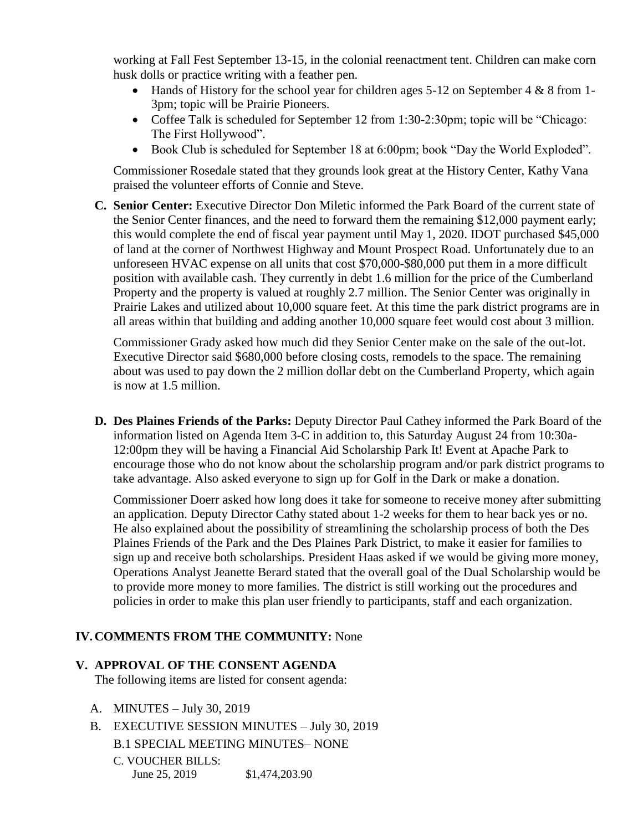working at Fall Fest September 13-15, in the colonial reenactment tent. Children can make corn husk dolls or practice writing with a feather pen.

- $\bullet$  Hands of History for the school year for children ages 5-12 on September 4 & 8 from 1-3pm; topic will be Prairie Pioneers.
- Coffee Talk is scheduled for September 12 from 1:30-2:30pm; topic will be "Chicago: The First Hollywood".
- Book Club is scheduled for September 18 at 6:00pm; book "Day the World Exploded".

Commissioner Rosedale stated that they grounds look great at the History Center, Kathy Vana praised the volunteer efforts of Connie and Steve.

**C. Senior Center:** Executive Director Don Miletic informed the Park Board of the current state of the Senior Center finances, and the need to forward them the remaining \$12,000 payment early; this would complete the end of fiscal year payment until May 1, 2020. IDOT purchased \$45,000 of land at the corner of Northwest Highway and Mount Prospect Road. Unfortunately due to an unforeseen HVAC expense on all units that cost \$70,000-\$80,000 put them in a more difficult position with available cash. They currently in debt 1.6 million for the price of the Cumberland Property and the property is valued at roughly 2.7 million. The Senior Center was originally in Prairie Lakes and utilized about 10,000 square feet. At this time the park district programs are in all areas within that building and adding another 10,000 square feet would cost about 3 million.

Commissioner Grady asked how much did they Senior Center make on the sale of the out-lot. Executive Director said \$680,000 before closing costs, remodels to the space. The remaining about was used to pay down the 2 million dollar debt on the Cumberland Property, which again is now at 1.5 million.

**D. Des Plaines Friends of the Parks:** Deputy Director Paul Cathey informed the Park Board of the information listed on Agenda Item 3-C in addition to, this Saturday August 24 from 10:30a-12:00pm they will be having a Financial Aid Scholarship Park It! Event at Apache Park to encourage those who do not know about the scholarship program and/or park district programs to take advantage. Also asked everyone to sign up for Golf in the Dark or make a donation.

Commissioner Doerr asked how long does it take for someone to receive money after submitting an application. Deputy Director Cathy stated about 1-2 weeks for them to hear back yes or no. He also explained about the possibility of streamlining the scholarship process of both the Des Plaines Friends of the Park and the Des Plaines Park District, to make it easier for families to sign up and receive both scholarships. President Haas asked if we would be giving more money, Operations Analyst Jeanette Berard stated that the overall goal of the Dual Scholarship would be to provide more money to more families. The district is still working out the procedures and policies in order to make this plan user friendly to participants, staff and each organization.

# **IV.COMMENTS FROM THE COMMUNITY:** None

#### **V. APPROVAL OF THE CONSENT AGENDA**

The following items are listed for consent agenda:

- A. MINUTES July 30, 2019
- B. EXECUTIVE SESSION MINUTES July 30, 2019 B.1 SPECIAL MEETING MINUTES– NONE
	- C. VOUCHER BILLS: June 25, 2019 \$1,474,203.90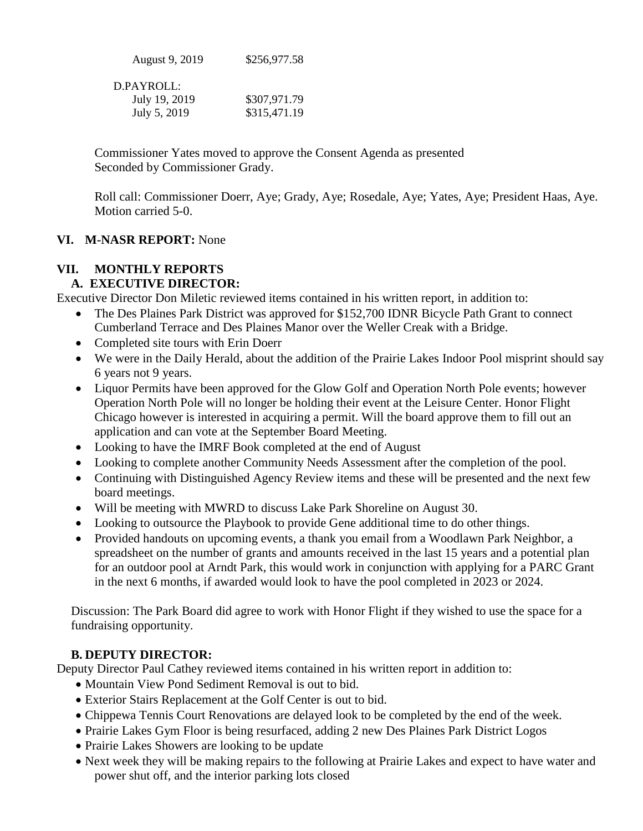| August 9, 2019 | \$256,977.58 |
|----------------|--------------|
| $D$ PAYROLL:   |              |
| July 19, 2019  | \$307,971.79 |
| July 5, 2019   | \$315,471.19 |

Commissioner Yates moved to approve the Consent Agenda as presented Seconded by Commissioner Grady.

Roll call: Commissioner Doerr, Aye; Grady, Aye; Rosedale, Aye; Yates, Aye; President Haas, Aye. Motion carried 5-0.

### **VI. M-NASR REPORT:** None

### **VII. MONTHLY REPORTS**

# **A. EXECUTIVE DIRECTOR:**

Executive Director Don Miletic reviewed items contained in his written report, in addition to:

- The Des Plaines Park District was approved for \$152,700 IDNR Bicycle Path Grant to connect Cumberland Terrace and Des Plaines Manor over the Weller Creak with a Bridge.
- Completed site tours with Erin Doerr
- We were in the Daily Herald, about the addition of the Prairie Lakes Indoor Pool misprint should say 6 years not 9 years.
- Liquor Permits have been approved for the Glow Golf and Operation North Pole events; however Operation North Pole will no longer be holding their event at the Leisure Center. Honor Flight Chicago however is interested in acquiring a permit. Will the board approve them to fill out an application and can vote at the September Board Meeting.
- Looking to have the IMRF Book completed at the end of August
- Looking to complete another Community Needs Assessment after the completion of the pool.
- Continuing with Distinguished Agency Review items and these will be presented and the next few board meetings.
- Will be meeting with MWRD to discuss Lake Park Shoreline on August 30.
- Looking to outsource the Playbook to provide Gene additional time to do other things.
- Provided handouts on upcoming events, a thank you email from a Woodlawn Park Neighbor, a spreadsheet on the number of grants and amounts received in the last 15 years and a potential plan for an outdoor pool at Arndt Park, this would work in conjunction with applying for a PARC Grant in the next 6 months, if awarded would look to have the pool completed in 2023 or 2024.

Discussion: The Park Board did agree to work with Honor Flight if they wished to use the space for a fundraising opportunity.

#### **B. DEPUTY DIRECTOR:**

Deputy Director Paul Cathey reviewed items contained in his written report in addition to:

- Mountain View Pond Sediment Removal is out to bid.
- Exterior Stairs Replacement at the Golf Center is out to bid.
- Chippewa Tennis Court Renovations are delayed look to be completed by the end of the week.
- Prairie Lakes Gym Floor is being resurfaced, adding 2 new Des Plaines Park District Logos
- Prairie Lakes Showers are looking to be update
- Next week they will be making repairs to the following at Prairie Lakes and expect to have water and power shut off, and the interior parking lots closed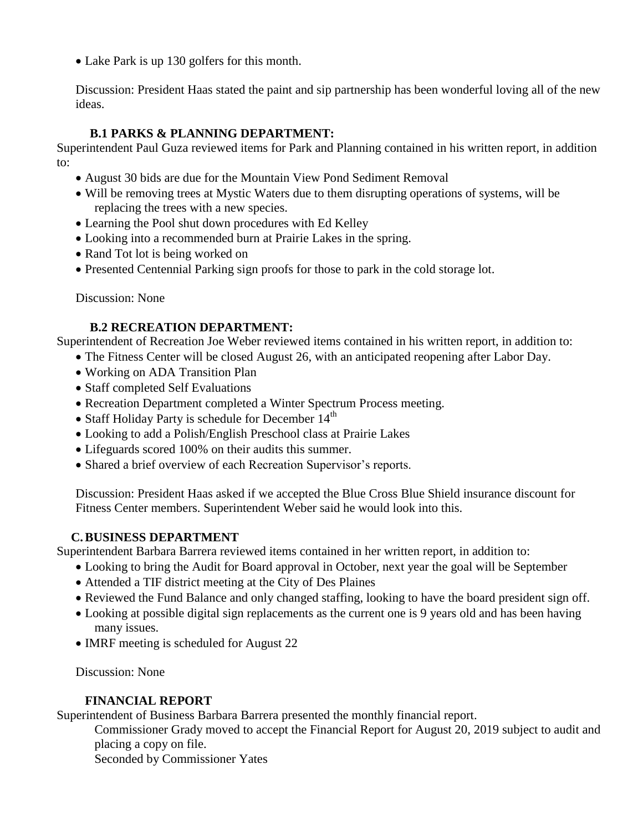• Lake Park is up 130 golfers for this month.

Discussion: President Haas stated the paint and sip partnership has been wonderful loving all of the new ideas.

# **B.1 PARKS & PLANNING DEPARTMENT:**

Superintendent Paul Guza reviewed items for Park and Planning contained in his written report, in addition to:

- August 30 bids are due for the Mountain View Pond Sediment Removal
- Will be removing trees at Mystic Waters due to them disrupting operations of systems, will be replacing the trees with a new species.
- Learning the Pool shut down procedures with Ed Kelley
- Looking into a recommended burn at Prairie Lakes in the spring.
- Rand Tot lot is being worked on
- Presented Centennial Parking sign proofs for those to park in the cold storage lot.

Discussion: None

### **B.2 RECREATION DEPARTMENT:**

Superintendent of Recreation Joe Weber reviewed items contained in his written report, in addition to:

- The Fitness Center will be closed August 26, with an anticipated reopening after Labor Day.
- Working on ADA Transition Plan
- Staff completed Self Evaluations
- Recreation Department completed a Winter Spectrum Process meeting.
- Staff Holiday Party is schedule for December 14<sup>th</sup>
- Looking to add a Polish/English Preschool class at Prairie Lakes
- Lifeguards scored 100% on their audits this summer.
- Shared a brief overview of each Recreation Supervisor's reports.

Discussion: President Haas asked if we accepted the Blue Cross Blue Shield insurance discount for Fitness Center members. Superintendent Weber said he would look into this.

#### **C.BUSINESS DEPARTMENT**

Superintendent Barbara Barrera reviewed items contained in her written report, in addition to:

- Looking to bring the Audit for Board approval in October, next year the goal will be September
- Attended a TIF district meeting at the City of Des Plaines
- Reviewed the Fund Balance and only changed staffing, looking to have the board president sign off.
- Looking at possible digital sign replacements as the current one is 9 years old and has been having many issues.
- IMRF meeting is scheduled for August 22

Discussion: None

# **FINANCIAL REPORT**

Superintendent of Business Barbara Barrera presented the monthly financial report.

Commissioner Grady moved to accept the Financial Report for August 20, 2019 subject to audit and placing a copy on file.

Seconded by Commissioner Yates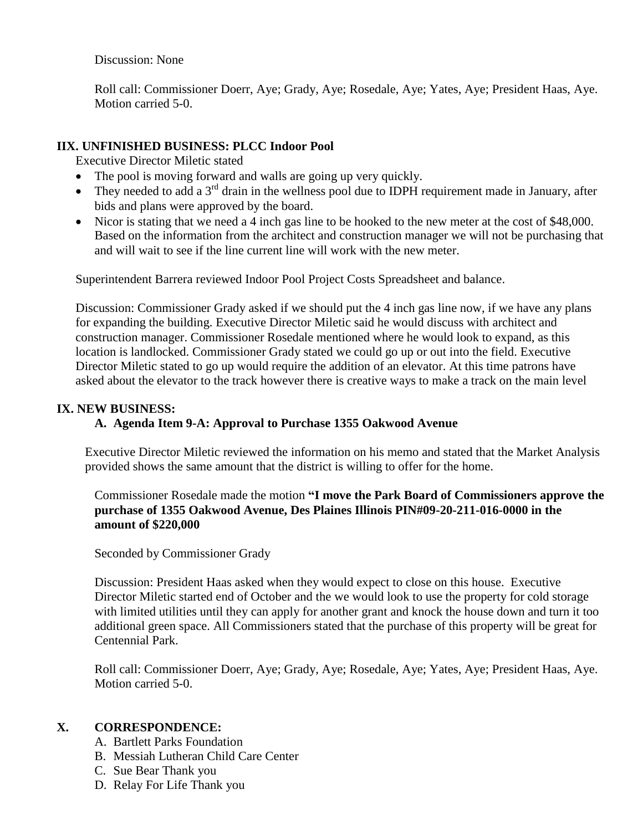Discussion: None

Roll call: Commissioner Doerr, Aye; Grady, Aye; Rosedale, Aye; Yates, Aye; President Haas, Aye. Motion carried 5-0.

# **IIX. UNFINISHED BUSINESS: PLCC Indoor Pool**

Executive Director Miletic stated

- The pool is moving forward and walls are going up very quickly.
- They needed to add a 3<sup>rd</sup> drain in the wellness pool due to IDPH requirement made in January, after bids and plans were approved by the board.
- Nicor is stating that we need a 4 inch gas line to be hooked to the new meter at the cost of \$48,000. Based on the information from the architect and construction manager we will not be purchasing that and will wait to see if the line current line will work with the new meter.

Superintendent Barrera reviewed Indoor Pool Project Costs Spreadsheet and balance.

Discussion: Commissioner Grady asked if we should put the 4 inch gas line now, if we have any plans for expanding the building. Executive Director Miletic said he would discuss with architect and construction manager. Commissioner Rosedale mentioned where he would look to expand, as this location is landlocked. Commissioner Grady stated we could go up or out into the field. Executive Director Miletic stated to go up would require the addition of an elevator. At this time patrons have asked about the elevator to the track however there is creative ways to make a track on the main level

# **IX. NEW BUSINESS:**

# **A. Agenda Item 9-A: Approval to Purchase 1355 Oakwood Avenue**

Executive Director Miletic reviewed the information on his memo and stated that the Market Analysis provided shows the same amount that the district is willing to offer for the home.

# Commissioner Rosedale made the motion **"I move the Park Board of Commissioners approve the purchase of 1355 Oakwood Avenue, Des Plaines Illinois PIN#09-20-211-016-0000 in the amount of \$220,000**

Seconded by Commissioner Grady

Discussion: President Haas asked when they would expect to close on this house. Executive Director Miletic started end of October and the we would look to use the property for cold storage with limited utilities until they can apply for another grant and knock the house down and turn it too additional green space. All Commissioners stated that the purchase of this property will be great for Centennial Park.

Roll call: Commissioner Doerr, Aye; Grady, Aye; Rosedale, Aye; Yates, Aye; President Haas, Aye. Motion carried 5-0.

# **X. CORRESPONDENCE:**

- A. Bartlett Parks Foundation
- B. Messiah Lutheran Child Care Center
- C. Sue Bear Thank you
- D. Relay For Life Thank you